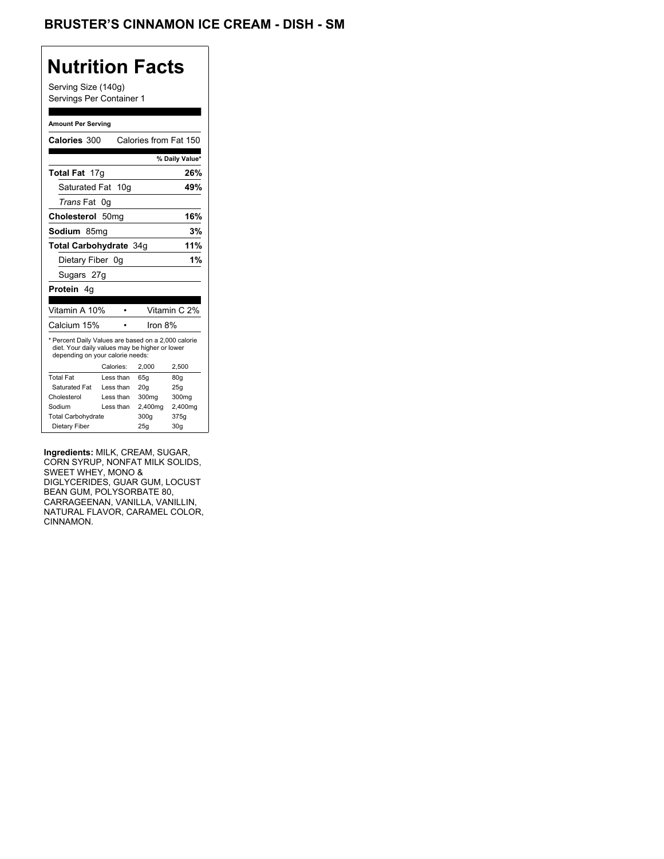## **Nutrition Facts**

Serving Size (140g) Servings Per Container 1

#### **Amount Per Serving**

| <b>Calories 300</b>                                                                                                                       |    |           | Calories from Fat 150 |                 |
|-------------------------------------------------------------------------------------------------------------------------------------------|----|-----------|-----------------------|-----------------|
|                                                                                                                                           |    |           |                       | % Daily Value*  |
| Total Fat 17g                                                                                                                             |    |           |                       | 26%             |
| Saturated Fat                                                                                                                             |    | 10q       |                       | 49%             |
| <i>Trans</i> Fat                                                                                                                          | 0g |           |                       |                 |
| Cholesterol 50mg                                                                                                                          |    |           |                       | 16%             |
| Sodium 85mq                                                                                                                               |    |           |                       | 3%              |
| <b>Total Carbohydrate 34g</b>                                                                                                             |    |           | 11%                   |                 |
| Dietary Fiber 0g                                                                                                                          |    |           |                       | 1%              |
| Sugars 27g                                                                                                                                |    |           |                       |                 |
| Protein 4q                                                                                                                                |    |           |                       |                 |
|                                                                                                                                           |    |           |                       |                 |
| Vitamin A 10%                                                                                                                             |    |           |                       | Vitamin C 2%    |
| Calcium 15%                                                                                                                               |    |           | Iron 8%               |                 |
| * Percent Daily Values are based on a 2,000 calorie<br>diet. Your daily values may be higher or lower<br>depending on your calorie needs: |    |           |                       |                 |
|                                                                                                                                           |    | Calories: | 2,000                 | 2,500           |
| <b>Total Fat</b>                                                                                                                          |    | Less than | 65q                   | 80q             |
| Saturated Fat                                                                                                                             |    | Less than | 20q                   | 25g             |
| Cholesterol                                                                                                                               |    | Less than | 300mg                 | 300mg           |
| Sodium                                                                                                                                    |    | Less than | 2,400mg               | 2,400mg         |
| <b>Total Carbohydrate</b>                                                                                                                 |    |           | 300g                  | 375g            |
| Dietary Fiber                                                                                                                             |    |           | 25q                   | 30 <sub>g</sub> |

**Ingredients:** MILK, CREAM, SUGAR, CORN SYRUP, NONFAT MILK SOLIDS, SWEET WHEY, MONO & DIGLYCERIDES, GUAR GUM, LOCUST BEAN GUM, POLYSORBATE 80, CARRAGEENAN, VANILLA, VANILLIN, NATURAL FLAVOR, CARAMEL COLOR, CINNAMON.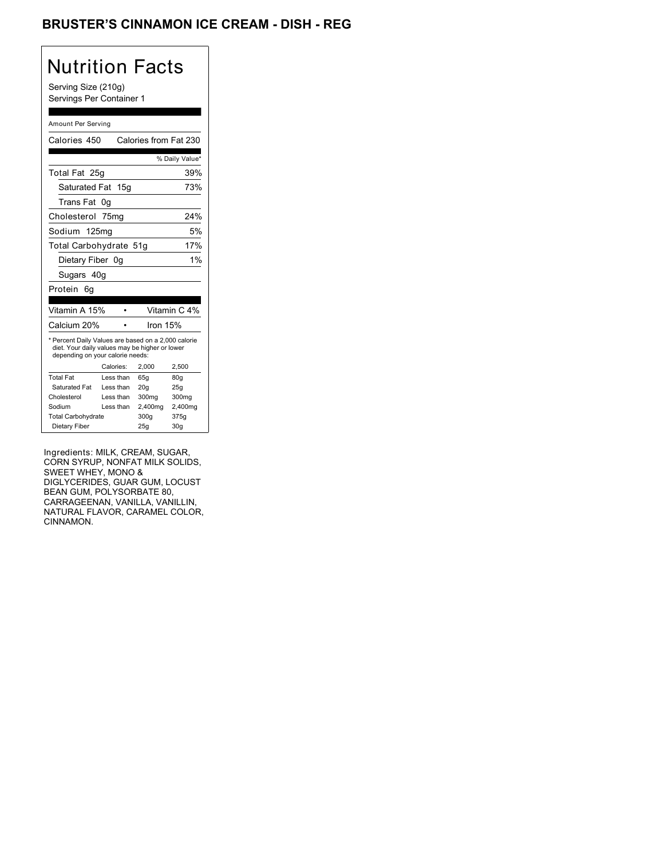### BRUSTER'S CINNAMON ICE CREAM - DISH - REG

## Nutrition Facts

Serving Size (210g) Servings Per Container 1

#### Amount Per Serving

| Calories 450                                                                                                                              |           | Calories from Fat 230 |                 |
|-------------------------------------------------------------------------------------------------------------------------------------------|-----------|-----------------------|-----------------|
|                                                                                                                                           |           |                       | % Daily Value*  |
| Total Fat 25g                                                                                                                             |           |                       | 39%             |
| Saturated Fat 15g                                                                                                                         |           |                       | 73%             |
| Trans Fat                                                                                                                                 | 0g        |                       |                 |
| Cholesterol 75mg                                                                                                                          |           |                       | 24%             |
| Sodium 125mg                                                                                                                              |           |                       | 5%              |
| Total Carbohydrate 51g                                                                                                                    |           |                       | 17%             |
| Dietary Fiber 0q                                                                                                                          |           |                       | 1%              |
| Sugars 40g                                                                                                                                |           |                       |                 |
| Protein<br>6g                                                                                                                             |           |                       |                 |
| Vitamin A 15%                                                                                                                             |           |                       | Vitamin C 4%    |
|                                                                                                                                           |           |                       |                 |
| Calcium 20%                                                                                                                               |           | Iron 15%              |                 |
| * Percent Daily Values are based on a 2,000 calorie<br>diet. Your daily values may be higher or lower<br>depending on your calorie needs: |           |                       |                 |
|                                                                                                                                           | Calories: | 2.000                 | 2,500           |
| <b>Total Fat</b>                                                                                                                          | Less than | 65q                   | 80q             |
| Saturated Fat                                                                                                                             | Less than | 20q                   | 25q             |
| Cholesterol                                                                                                                               | Less than | 300mg                 | 300mg           |
| Sodium                                                                                                                                    | Less than | 2,400mg               | 2,400mg         |
| <b>Total Carbohydrate</b>                                                                                                                 |           | 300a                  | 375g            |
| Dietary Fiber                                                                                                                             |           | 25q                   | 30 <sub>g</sub> |

Ingredients: MILK, CREAM, SUGAR, CORN SYRUP, NONFAT MILK SOLIDS, SWEET WHEY, MONO & DIGLYCERIDES, GUAR GUM, LOCUST BEAN GUM, POLYSORBATE 80, CARRAGEENAN, VANILLA, VANILLIN, NATURAL FLAVOR, CARAMEL COLOR, CINNAMON.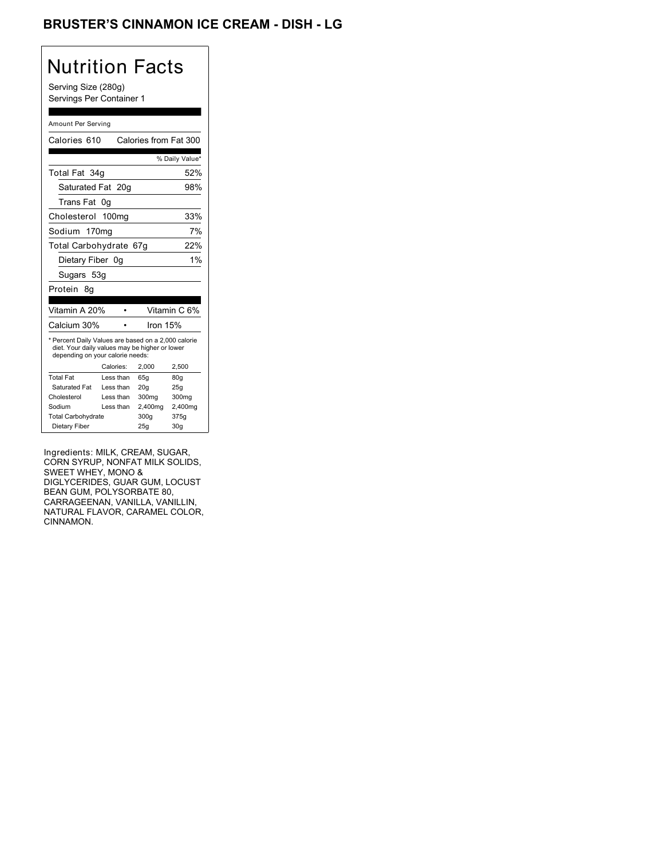## Nutrition Facts

Serving Size (280g) Servings Per Container 1

#### Amount Per Serving

| Calories 610                                                                                                                              |                   | Calories from Fat 300 |                 |
|-------------------------------------------------------------------------------------------------------------------------------------------|-------------------|-----------------------|-----------------|
|                                                                                                                                           |                   |                       | % Daily Value*  |
| Total Fat 34g                                                                                                                             |                   |                       | 52%             |
| Saturated Fat 20g                                                                                                                         |                   |                       | 98%             |
| <b>Trans Fat</b>                                                                                                                          | 0g                |                       |                 |
| Cholesterol 100mg                                                                                                                         |                   |                       | 33%             |
| Sodium                                                                                                                                    | 170 <sub>mq</sub> |                       | 7%              |
| Total Carbohydrate 67g                                                                                                                    |                   |                       | 22%             |
| Dietary Fiber 0g                                                                                                                          |                   |                       | 1%              |
| Sugars 53g                                                                                                                                |                   |                       |                 |
| Protein<br>8g                                                                                                                             |                   |                       |                 |
|                                                                                                                                           |                   |                       |                 |
| Vitamin A 20%                                                                                                                             |                   |                       | Vitamin C 6%    |
| Calcium 30%                                                                                                                               |                   | Iron 15%              |                 |
| * Percent Daily Values are based on a 2,000 calorie<br>diet. Your daily values may be higher or lower<br>depending on your calorie needs: |                   |                       |                 |
|                                                                                                                                           | Calories:         | 2,000                 | 2,500           |
| <b>Total Fat</b>                                                                                                                          | Less than         | 65q                   | 80q             |
| Saturated Fat                                                                                                                             | Less than         | 20q                   | 25g             |
| Cholesterol                                                                                                                               | Less than         | 300mg                 | 300mg           |
| Sodium                                                                                                                                    | Less than         | 2,400mg               | 2,400mg         |
| <b>Total Carbohydrate</b>                                                                                                                 |                   | 300a                  | 375g            |
| Dietary Fiber                                                                                                                             |                   | 25q                   | 30 <sub>g</sub> |

Ingredients: MILK, CREAM, SUGAR, CORN SYRUP, NONFAT MILK SOLIDS, SWEET WHEY, MONO & DIGLYCERIDES, GUAR GUM, LOCUST BEAN GUM, POLYSORBATE 80, CARRAGEENAN, VANILLA, VANILLIN, NATURAL FLAVOR, CARAMEL COLOR, CINNAMON.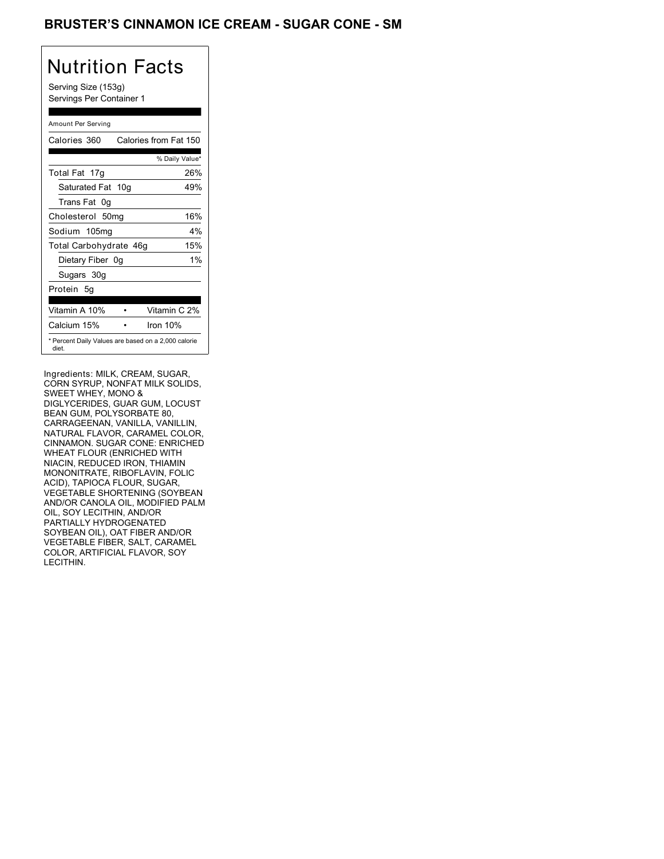### BRUSTER'S CINNAMON ICE CREAM - SUGAR CONE - SM

# Nutrition Facts

Serving Size (153g) Servings Per Container 1

#### Amount Per Serving

| Calories 360           | Calories from Fat 150                               |
|------------------------|-----------------------------------------------------|
|                        | % Daily Value*                                      |
| Total Fat 17g          | 26%                                                 |
| Saturated Fat 10g      | 49%                                                 |
| Trans Fat 0q           |                                                     |
| Cholesterol 50mg       | 16%                                                 |
| Sodium 105mg           | $4\%$                                               |
| Total Carbohydrate 46g | 15%                                                 |
| Dietary Fiber 0g       | 1%                                                  |
| Sugars 30g             |                                                     |
| Protein 5q             |                                                     |
|                        |                                                     |
| Vitamin A 10%          | Vitamin C 2%                                        |
| Calcium 15%            | Iron $10%$                                          |
| diet.                  | * Percent Daily Values are based on a 2,000 calorie |

Ingredients: MILK, CREAM, SUGAR, CORN SYRUP, NONFAT MILK SOLIDS, SWEET WHEY, MONO & DIGLYCERIDES, GUAR GUM, LOCUST BEAN GUM, POLYSORBATE 80, CARRAGEENAN, VANILLA, VANILLIN, NATURAL FLAVOR, CARAMEL COLOR, CINNAMON. SUGAR CONE: ENRICHED WHEAT FLOUR (ENRICHED WITH NIACIN, REDUCED IRON, THIAMIN MONONITRATE, RIBOFLAVIN, FOLIC ACID), TAPIOCA FLOUR, SUGAR, VEGETABLE SHORTENING (SOYBEAN AND/OR CANOLA OIL, MODIFIED PALM OIL, SOY LECITHIN, AND/OR PARTIALLY HYDROGENATED SOYBEAN OIL), OAT FIBER AND/OR VEGETABLE FIBER, SALT, CARAMEL COLOR, ARTIFICIAL FLAVOR, SOY LECITHIN.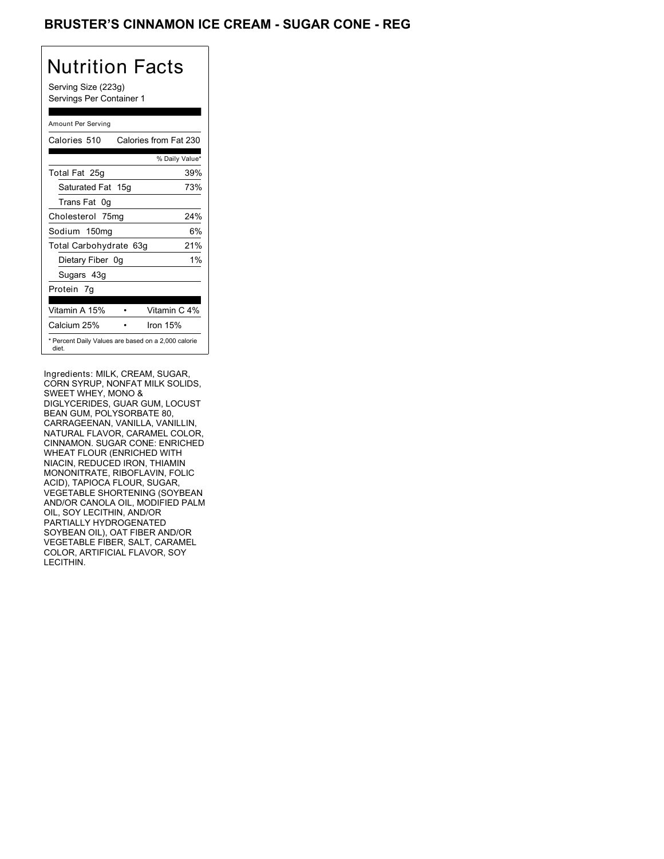### BRUSTER'S CINNAMON ICE CREAM - SUGAR CONE - REG

## Nutrition Facts

Serving Size (223g) Servings Per Container 1

### Amount Per Serving

| Calories 510           | Calories from Fat 230                               |
|------------------------|-----------------------------------------------------|
|                        | % Daily Value*                                      |
| Total Fat 25g          | 39%                                                 |
| Saturated Fat 15g      | 73%                                                 |
| Trans Fat 0q           |                                                     |
| Cholesterol 75mg       | 24%                                                 |
| Sodium 150mg           | 6%                                                  |
| Total Carbohydrate 63g | 21%                                                 |
| Dietary Fiber 0g       | 1%                                                  |
| Sugars 43g             |                                                     |
| Protein 7g             |                                                     |
|                        |                                                     |
| Vitamin A 15%          | Vitamin C 4%                                        |
| Calcium 25%            | Iron 15%                                            |
| diet.                  | * Percent Daily Values are based on a 2,000 calorie |

Ingredients: MILK, CREAM, SUGAR, CORN SYRUP, NONFAT MILK SOLIDS, SWEET WHEY, MONO & DIGLYCERIDES, GUAR GUM, LOCUST BEAN GUM, POLYSORBATE 80, CARRAGEENAN, VANILLA, VANILLIN, NATURAL FLAVOR, CARAMEL COLOR, CINNAMON. SUGAR CONE: ENRICHED WHEAT FLOUR (ENRICHED WITH NIACIN, REDUCED IRON, THIAMIN MONONITRATE, RIBOFLAVIN, FOLIC ACID), TAPIOCA FLOUR, SUGAR, VEGETABLE SHORTENING (SOYBEAN AND/OR CANOLA OIL, MODIFIED PALM OIL, SOY LECITHIN, AND/OR PARTIALLY HYDROGENATED SOYBEAN OIL), OAT FIBER AND/OR VEGETABLE FIBER, SALT, CARAMEL COLOR, ARTIFICIAL FLAVOR, SOY LECITHIN.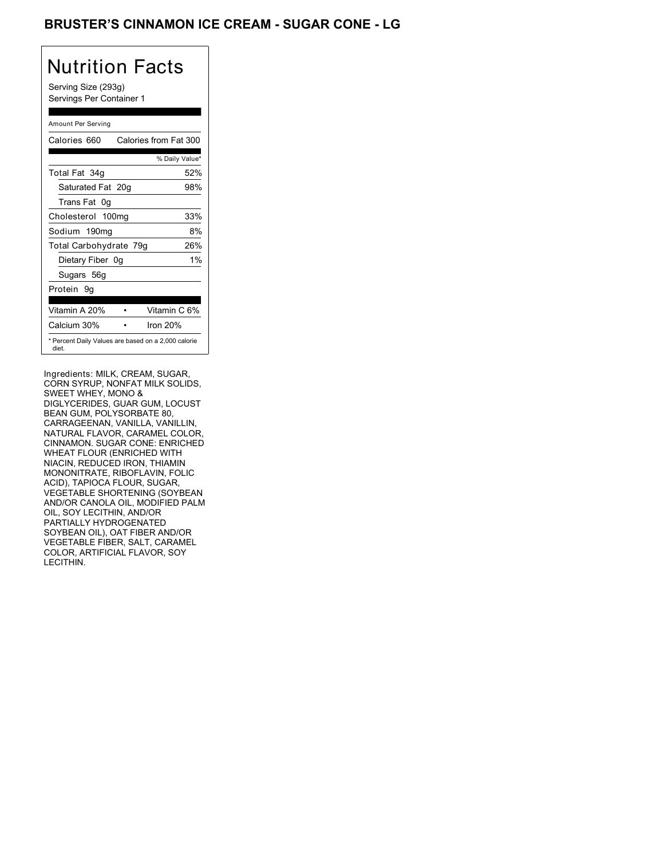### BRUSTER'S CINNAMON ICE CREAM - SUGAR CONE - LG

# Nutrition Facts

Serving Size (293g) Servings Per Container 1

#### Amount Per Serving

| Calories 660           | Calories from Fat 300                               |
|------------------------|-----------------------------------------------------|
|                        | % Daily Value*                                      |
| Total Fat 34g          | 52%                                                 |
| Saturated Fat 20g      | 98%                                                 |
| Trans Fat 0q           |                                                     |
| Cholesterol 100mg      | 33%                                                 |
| Sodium 190mg           | 8%                                                  |
| Total Carbohydrate 79g | 26%                                                 |
| Dietary Fiber 0g       | 1%                                                  |
| Sugars 56g             |                                                     |
| Protein 9q             |                                                     |
|                        |                                                     |
| Vitamin A 20%          | Vitamin C 6%                                        |
| Calcium 30%            | Iron $20%$                                          |
| diet.                  | * Percent Daily Values are based on a 2,000 calorie |

Ingredients: MILK, CREAM, SUGAR, CORN SYRUP, NONFAT MILK SOLIDS, SWEET WHEY, MONO & DIGLYCERIDES, GUAR GUM, LOCUST BEAN GUM, POLYSORBATE 80, CARRAGEENAN, VANILLA, VANILLIN, NATURAL FLAVOR, CARAMEL COLOR, CINNAMON. SUGAR CONE: ENRICHED WHEAT FLOUR (ENRICHED WITH NIACIN, REDUCED IRON, THIAMIN MONONITRATE, RIBOFLAVIN, FOLIC ACID), TAPIOCA FLOUR, SUGAR, VEGETABLE SHORTENING (SOYBEAN AND/OR CANOLA OIL, MODIFIED PALM OIL, SOY LECITHIN, AND/OR PARTIALLY HYDROGENATED SOYBEAN OIL), OAT FIBER AND/OR VEGETABLE FIBER, SALT, CARAMEL COLOR, ARTIFICIAL FLAVOR, SOY LECITHIN.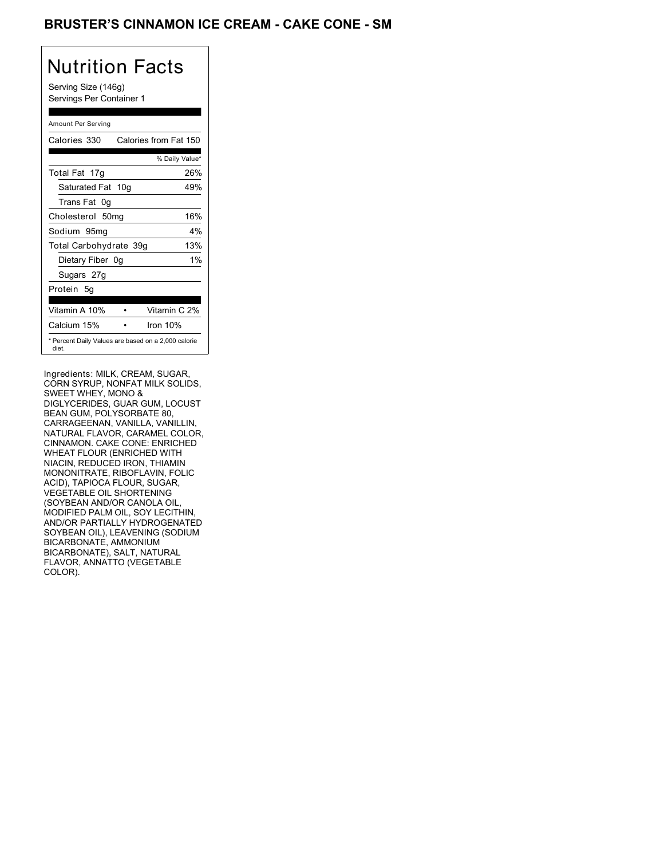### BRUSTER'S CINNAMON ICE CREAM - CAKE CONE - SM

## Nutrition Facts

Serving Size (146g) Servings Per Container 1

### Amount Per Serving

| Calories 330           | Calories from Fat 150                               |
|------------------------|-----------------------------------------------------|
|                        | % Daily Value*                                      |
| Total Fat 17g          | 26%                                                 |
| Saturated Fat 10g      | 49%                                                 |
| Trans Fat 0q           |                                                     |
| Cholesterol 50mg       | 16%                                                 |
| Sodium 95mg            | $4\%$                                               |
| Total Carbohydrate 39g | 13%                                                 |
| Dietary Fiber 0g       | 1%                                                  |
| Sugars 27g             |                                                     |
| Protein 5q             |                                                     |
|                        |                                                     |
| Vitamin A 10%          | Vitamin C 2%                                        |
| Calcium 15%            | Iron $10%$                                          |
| diet.                  | * Percent Daily Values are based on a 2,000 calorie |

Ingredients: MILK, CREAM, SUGAR, CORN SYRUP, NONFAT MILK SOLIDS, SWEET WHEY, MONO & DIGLYCERIDES, GUAR GUM, LOCUST BEAN GUM, POLYSORBATE 80, CARRAGEENAN, VANILLA, VANILLIN, NATURAL FLAVOR, CARAMEL COLOR, CINNAMON. CAKE CONE: ENRICHED WHEAT FLOUR (ENRICHED WITH NIACIN, REDUCED IRON, THIAMIN MONONITRATE, RIBOFLAVIN, FOLIC ACID), TAPIOCA FLOUR, SUGAR, VEGETABLE OIL SHORTENING (SOYBEAN AND/OR CANOLA OIL, MODIFIED PALM OIL, SOY LECITHIN, AND/OR PARTIALLY HYDROGENATED SOYBEAN OIL), LEAVENING (SODIUM BICARBONATE, AMMONIUM BICARBONATE), SALT, NATURAL FLAVOR, ANNATTO (VEGETABLE COLOR).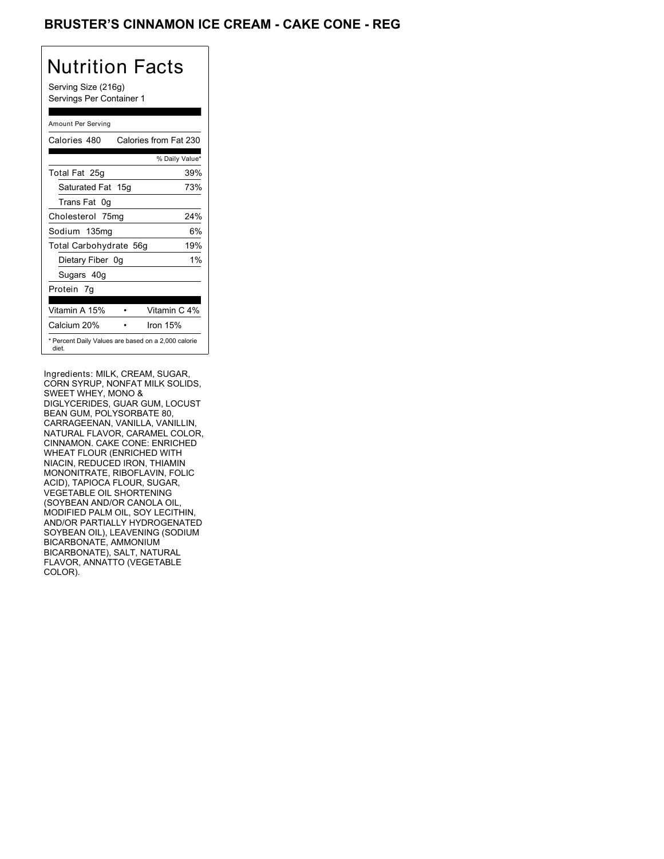### BRUSTER'S CINNAMON ICE CREAM - CAKE CONE - REG

## Nutrition Facts

Serving Size (216g) Servings Per Container 1

### Amount Per Serving

| Calories 480                                                 | Calories from Fat 230 |                |
|--------------------------------------------------------------|-----------------------|----------------|
|                                                              |                       | % Daily Value* |
| Total Fat 25g                                                |                       | 39%            |
| Saturated Fat 15g                                            |                       | 73%            |
| Trans Fat 0g                                                 |                       |                |
| Cholesterol 75mg                                             |                       | 24%            |
| Sodium 135mg                                                 |                       | 6%             |
| Total Carbohydrate 56g                                       |                       | 19%            |
| Dietary Fiber 0g                                             |                       | $1\%$          |
| Sugars 40g                                                   |                       |                |
| Protein 7q                                                   |                       |                |
| Vitamin A 15%                                                | Vitamin C 4%          |                |
| Calcium 20%                                                  | Iron 15%              |                |
| * Percent Daily Values are based on a 2,000 calorie<br>diet. |                       |                |

Ingredients: MILK, CREAM, SUGAR, CORN SYRUP, NONFAT MILK SOLIDS, SWEET WHEY, MONO & DIGLYCERIDES, GUAR GUM, LOCUST BEAN GUM, POLYSORBATE 80, CARRAGEENAN, VANILLA, VANILLIN, NATURAL FLAVOR, CARAMEL COLOR, CINNAMON. CAKE CONE: ENRICHED WHEAT FLOUR (ENRICHED WITH NIACIN, REDUCED IRON, THIAMIN MONONITRATE, RIBOFLAVIN, FOLIC ACID), TAPIOCA FLOUR, SUGAR, VEGETABLE OIL SHORTENING (SOYBEAN AND/OR CANOLA OIL, MODIFIED PALM OIL, SOY LECITHIN, AND/OR PARTIALLY HYDROGENATED SOYBEAN OIL), LEAVENING (SODIUM BICARBONATE, AMMONIUM BICARBONATE), SALT, NATURAL FLAVOR, ANNATTO (VEGETABLE COLOR).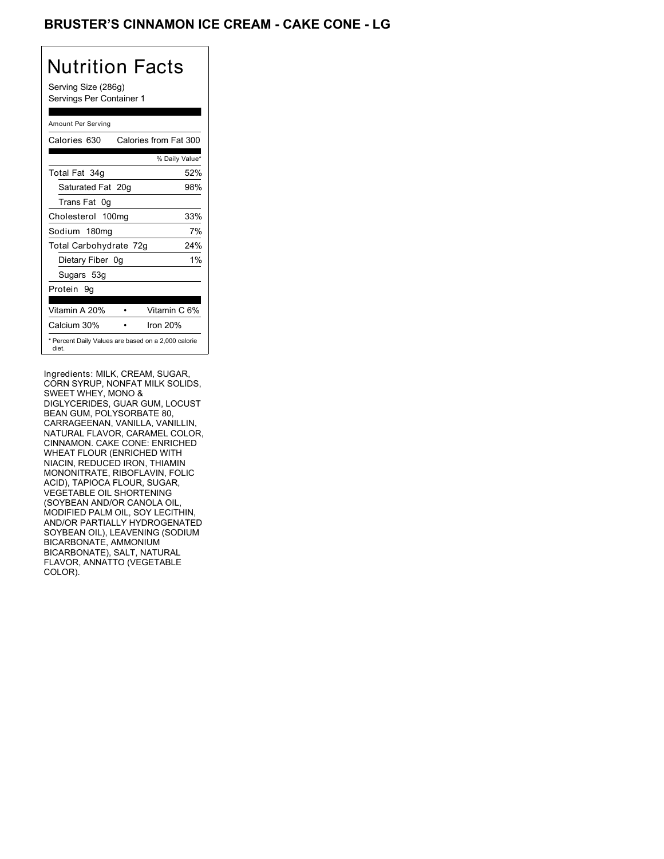### BRUSTER'S CINNAMON ICE CREAM - CAKE CONE - LG

# Nutrition Facts

Serving Size (286g) Servings Per Container 1

#### Amount Per Serving

| Calories 630           | Calories from Fat 300                               |
|------------------------|-----------------------------------------------------|
|                        | % Daily Value*                                      |
| Total Fat 34g          | 52%                                                 |
| Saturated Fat 20g      | 98%                                                 |
| Trans Fat 0q           |                                                     |
| Cholesterol 100mg      | 33%                                                 |
| Sodium 180mg           | 7%                                                  |
| Total Carbohydrate 72g | 24%                                                 |
| Dietary Fiber 0g       | 1%                                                  |
| Sugars 53g             |                                                     |
| Protein 9q             |                                                     |
|                        |                                                     |
| Vitamin A 20%          | Vitamin C 6%                                        |
| Calcium 30%            | Iron 20%                                            |
| diet.                  | * Percent Daily Values are based on a 2,000 calorie |

Ingredients: MILK, CREAM, SUGAR, CORN SYRUP, NONFAT MILK SOLIDS, SWEET WHEY, MONO & DIGLYCERIDES, GUAR GUM, LOCUST BEAN GUM, POLYSORBATE 80, CARRAGEENAN, VANILLA, VANILLIN, NATURAL FLAVOR, CARAMEL COLOR, CINNAMON. CAKE CONE: ENRICHED WHEAT FLOUR (ENRICHED WITH NIACIN, REDUCED IRON, THIAMIN MONONITRATE, RIBOFLAVIN, FOLIC ACID), TAPIOCA FLOUR, SUGAR, VEGETABLE OIL SHORTENING (SOYBEAN AND/OR CANOLA OIL, MODIFIED PALM OIL, SOY LECITHIN, AND/OR PARTIALLY HYDROGENATED SOYBEAN OIL), LEAVENING (SODIUM BICARBONATE, AMMONIUM BICARBONATE), SALT, NATURAL FLAVOR, ANNATTO (VEGETABLE COLOR).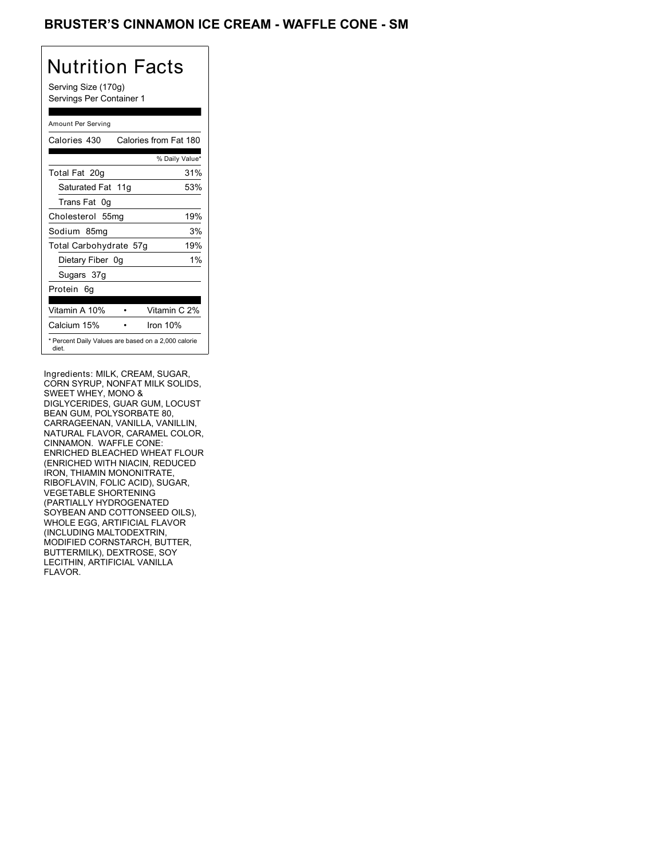### BRUSTER'S CINNAMON ICE CREAM - WAFFLE CONE - SM

## Nutrition Facts

Serving Size (170g) Servings Per Container 1

### Amount Per Serving

| Calories 430                                                 | Calories from Fat 180 |
|--------------------------------------------------------------|-----------------------|
|                                                              | % Daily Value*        |
| Total Fat 20g                                                | 31%                   |
| Saturated Fat 11g                                            | 53%                   |
| Trans Fat 0q                                                 |                       |
| Cholesterol 55mg                                             | 19%                   |
| Sodium 85mg                                                  | 3%                    |
| Total Carbohydrate 57g                                       | 19%                   |
| Dietary Fiber 0g                                             | $1\%$                 |
| Sugars 37g                                                   |                       |
| Protein 6q                                                   |                       |
| Vitamin A 10%                                                | Vitamin C 2%          |
| Calcium 15%                                                  | Iron 10%              |
| * Percent Daily Values are based on a 2,000 calorie<br>diet. |                       |

Ingredients: MILK, CREAM, SUGAR, CORN SYRUP, NONFAT MILK SOLIDS, SWEET WHEY, MONO & DIGLYCERIDES, GUAR GUM, LOCUST BEAN GUM, POLYSORBATE 80, CARRAGEENAN, VANILLA, VANILLIN, NATURAL FLAVOR, CARAMEL COLOR, CINNAMON. WAFFLE CONE: ENRICHED BLEACHED WHEAT FLOUR (ENRICHED WITH NIACIN, REDUCED IRON, THIAMIN MONONITRATE, RIBOFLAVIN, FOLIC ACID), SUGAR, VEGETABLE SHORTENING (PARTIALLY HYDROGENATED SOYBEAN AND COTTONSEED OILS), WHOLE EGG, ARTIFICIAL FLAVOR (INCLUDING MALTODEXTRIN, MODIFIED CORNSTARCH, BUTTER, BUTTERMILK), DEXTROSE, SOY LECITHIN, ARTIFICIAL VANILLA FLAVOR.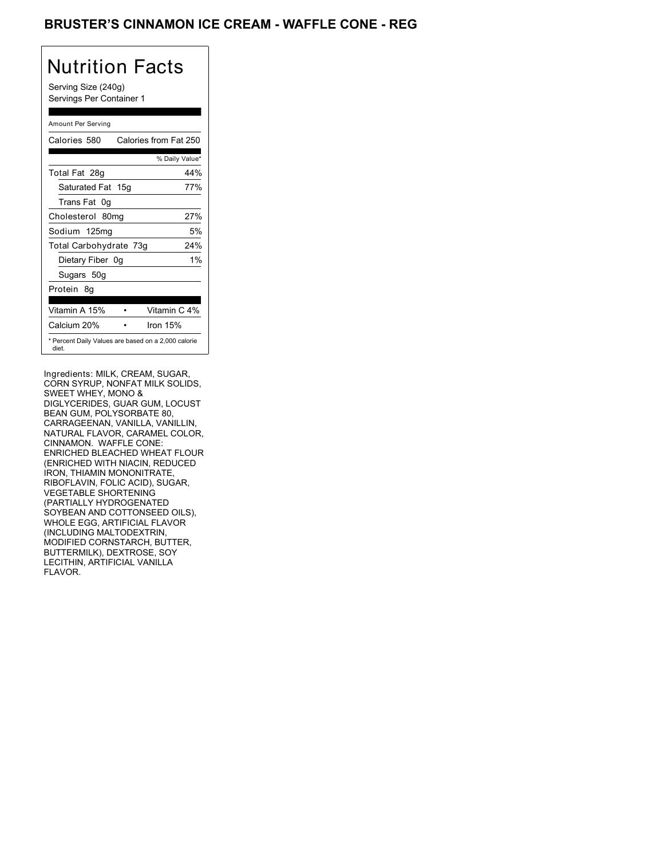### BRUSTER'S CINNAMON ICE CREAM - WAFFLE CONE - REG

## Nutrition Facts

Serving Size (240g) Servings Per Container 1

### Amount Per Serving

| Calories 580           | Calories from Fat 250                               |
|------------------------|-----------------------------------------------------|
|                        | % Daily Value*                                      |
| Total Fat 28g          | 44%                                                 |
| Saturated Fat 15g      | 77%                                                 |
| Trans Fat 0q           |                                                     |
| Cholesterol 80mg       | 27%                                                 |
| Sodium 125mg           | 5%                                                  |
| Total Carbohydrate 73g | 24%                                                 |
| Dietary Fiber 0g       | 1%                                                  |
| Sugars 50g             |                                                     |
| Protein 8q             |                                                     |
|                        |                                                     |
| Vitamin A 15%          | Vitamin C 4%                                        |
| Calcium 20%            | Iron $15%$                                          |
| diet.                  | * Percent Daily Values are based on a 2,000 calorie |

Ingredients: MILK, CREAM, SUGAR, CORN SYRUP, NONFAT MILK SOLIDS, SWEET WHEY, MONO & DIGLYCERIDES, GUAR GUM, LOCUST BEAN GUM, POLYSORBATE 80, CARRAGEENAN, VANILLA, VANILLIN, NATURAL FLAVOR, CARAMEL COLOR, CINNAMON. WAFFLE CONE: ENRICHED BLEACHED WHEAT FLOUR (ENRICHED WITH NIACIN, REDUCED IRON, THIAMIN MONONITRATE, RIBOFLAVIN, FOLIC ACID), SUGAR, VEGETABLE SHORTENING (PARTIALLY HYDROGENATED SOYBEAN AND COTTONSEED OILS), WHOLE EGG, ARTIFICIAL FLAVOR (INCLUDING MALTODEXTRIN, MODIFIED CORNSTARCH, BUTTER, BUTTERMILK), DEXTROSE, SOY LECITHIN, ARTIFICIAL VANILLA FLAVOR.